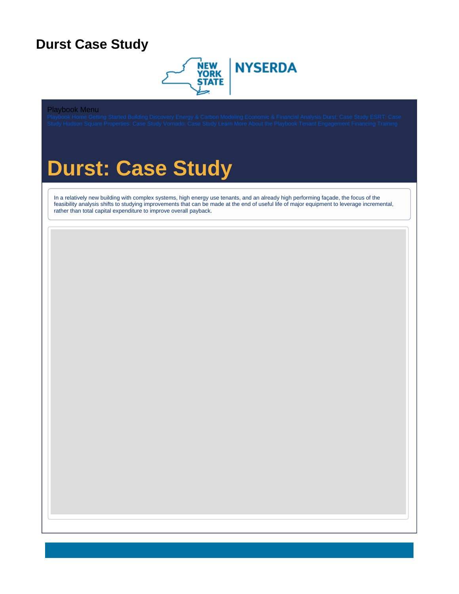### <span id="page-0-0"></span>**Durst Case Study**



### Playbook Menu

# **Durst: Case Study**

In a relatively new building with complex systems, high energy use tenants, and an already high performing façade, the focus of the feasibility analysis shifts to studying improvements that can be made at the end of useful life of major equipment to leverage incremental, rather than total capital expenditure to improve overall payback.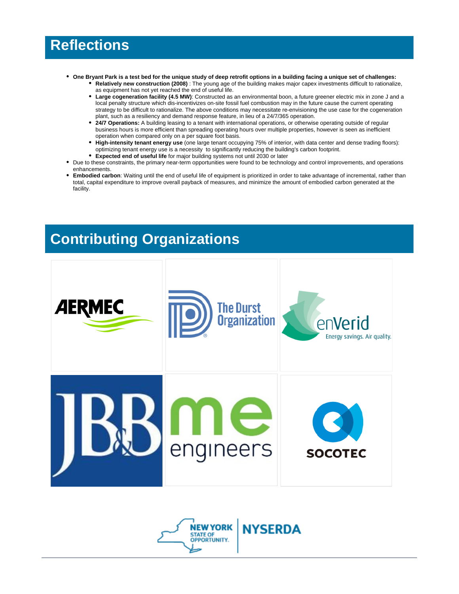## **Reflections**

- **One Bryant Park is a test bed for the unique study of deep retrofit options in a building facing a unique set of challenges:**
	- **Relatively new construction (2008)** : The young age of the building makes major capex investments difficult to rationalize, as equipment has not yet reached the end of useful life.
	- **Large cogeneration facility (4.5 MW)**: Constructed as an environmental boon, a future greener electric mix in zone J and a local penalty structure which dis-incentivizes on-site fossil fuel combustion may in the future cause the current operating strategy to be difficult to rationalize. The above conditions may necessitate re-envisioning the use case for the cogeneration plant, such as a resiliency and demand response feature, in lieu of a 24/7/365 operation.
	- **24/7 Operations:** A building leasing to a tenant with international operations, or otherwise operating outside of regular business hours is more efficient than spreading operating hours over multiple properties, however is seen as inefficient operation when compared only on a per square foot basis.
	- **High-intensity tenant energy use** (one large tenant occupying 75% of interior, with data center and dense trading floors): optimizing tenant energy use is a necessity to significantly reducing the building's carbon footprint.
	- **Expected end of useful life** for major building systems not until 2030 or later
- Due to these constraints, the primary near-term opportunities were found to be technology and control improvements, and operations enhancements.
- **Embodied carbon**: Waiting until the end of useful life of equipment is prioritized in order to take advantage of incremental, rather than total, capital expenditure to improve overall payback of measures, and minimize the amount of embodied carbon generated at the facility.

# **Contributing Organizations**



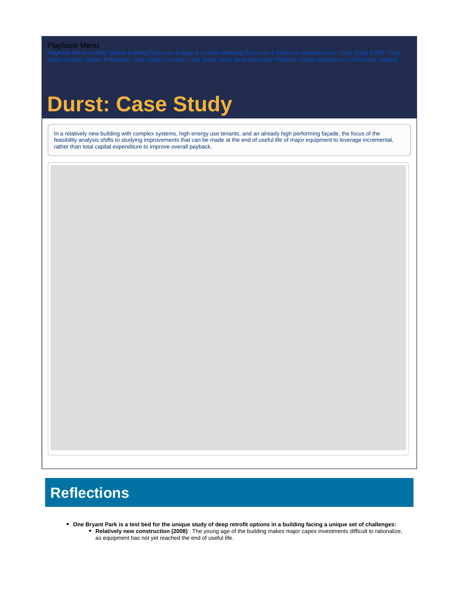### Playbook Menu

# **Durst: Case Study**

In a relatively new building with complex systems, high energy use tenants, and an already high performing façade, the focus of the feasibility analysis shifts to studying improvements that can be made at the end of useful life of major equipment to leverage incremental, rather than total capital expenditure to improve overall payback.

## **Reflections**

**One Bryant Park is a test bed for the unique study of deep retrofit options in a building facing a unique set of challenges: Relatively new construction (2008)** : The young age of the building makes major capex investments difficult to rationalize, as equipment has not yet reached the end of useful life.